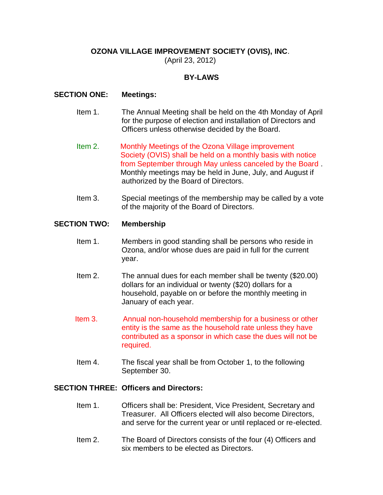# **OZONA VILLAGE IMPROVEMENT SOCIETY (OVIS), INC**.

(April 23, 2012)

# **BY-LAWS**

### **SECTION ONE: Meetings:**

- Item 1. The Annual Meeting shall be held on the 4th Monday of April for the purpose of election and installation of Directors and Officers unless otherwise decided by the Board.
- Item 2. Monthly Meetings of the Ozona Village improvement Society (OVIS) shall be held on a monthly basis with notice from September through May unless canceled by the Board . Monthly meetings may be held in June, July, and August if authorized by the Board of Directors.
- Item 3. Special meetings of the membership may be called by a vote of the majority of the Board of Directors.

#### **SECTION TWO: Membership**

- Item 1. Members in good standing shall be persons who reside in Ozona, and/or whose dues are paid in full for the current year.
- Item 2. The annual dues for each member shall be twenty (\$20.00) dollars for an individual or twenty (\$20) dollars for a household, payable on or before the monthly meeting in January of each year.
- Item 3. Annual non-household membership for a business or other entity is the same as the household rate unless they have contributed as a sponsor in which case the dues will not be required.
- Item 4. The fiscal year shall be from October 1, to the following September 30.

## **SECTION THREE: Officers and Directors:**

- Item 1. Officers shall be: President, Vice President, Secretary and Treasurer. All Officers elected will also become Directors, and serve for the current year or until replaced or re-elected.
- Item 2. The Board of Directors consists of the four (4) Officers and six members to be elected as Directors.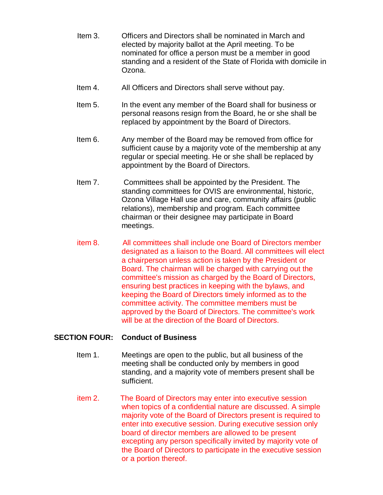- Item 3. Officers and Directors shall be nominated in March and elected by majority ballot at the April meeting. To be nominated for office a person must be a member in good standing and a resident of the State of Florida with domicile in Ozona.
- Item 4. All Officers and Directors shall serve without pay.
- Item 5. In the event any member of the Board shall for business or personal reasons resign from the Board, he or she shall be replaced by appointment by the Board of Directors.
- Item 6. Any member of the Board may be removed from office for sufficient cause by a majority vote of the membership at any regular or special meeting. He or she shall be replaced by appointment by the Board of Directors.
- Item 7. Committees shall be appointed by the President. The standing committees for OVIS are environmental, historic, Ozona Village Hall use and care, community affairs (public relations), membership and program. Each committee chairman or their designee may participate in Board meetings.
- item 8. All committees shall include one Board of Directors member designated as a liaison to the Board. All committees will elect a chairperson unless action is taken by the President or Board. The chairman will be charged with carrying out the committee's mission as charged by the Board of Directors, ensuring best practices in keeping with the bylaws, and keeping the Board of Directors timely informed as to the committee activity. The committee members must be approved by the Board of Directors. The committee's work will be at the direction of the Board of Directors.

## **SECTION FOUR: Conduct of Business**

- Item 1. Meetings are open to the public, but all business of the meeting shall be conducted only by members in good standing, and a majority vote of members present shall be sufficient.
- item 2. The Board of Directors may enter into executive session when topics of a confidential nature are discussed. A simple majority vote of the Board of Directors present is required to enter into executive session. During executive session only board of director members are allowed to be present excepting any person specifically invited by majority vote of the Board of Directors to participate in the executive session or a portion thereof.